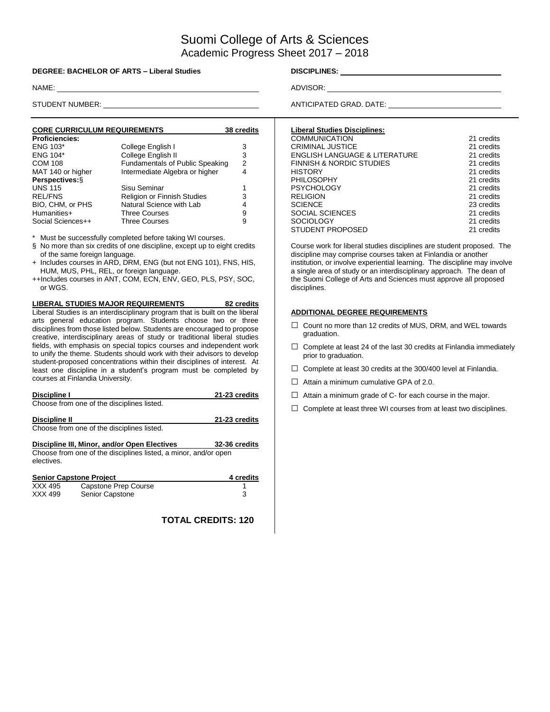# Suomi College of Arts & Sciences Academic Progress Sheet 2017 – 2018

#### **DEGREE: BACHELOR OF ARTS – Liberal Studies DISCIPLINES:**

| <b>CORE CURRICULUM REQUIREMENTS</b> | 38 credits                      |   |
|-------------------------------------|---------------------------------|---|
| <b>Proficiencies:</b>               |                                 |   |
| <b>ENG 103*</b>                     | College English I               | 3 |
| ENG 104*                            | College English II              | 3 |
| <b>COM 108</b>                      | Fundamentals of Public Speaking | 2 |
| MAT 140 or higher                   | Intermediate Algebra or higher  | 4 |
| Perspectives: §                     |                                 |   |
| <b>UNS 115</b>                      | Sisu Seminar                    |   |
| <b>REL/FNS</b>                      | Religion or Finnish Studies     | 3 |
| BIO, CHM, or PHS                    | Natural Science with Lab        | 4 |
| Humanities+                         | <b>Three Courses</b>            | 9 |
| Social Sciences++                   | <b>Three Courses</b>            | 9 |

Must be successfully completed before taking WI courses.

- § No more than six credits of one discipline, except up to eight credits of the same foreign language.
- + Includes courses in ARD, DRM, ENG (but not ENG 101), FNS, HIS, HUM, MUS, PHL, REL, or foreign language.
- ++Includes courses in ANT, COM, ECN, ENV, GEO, PLS, PSY, SOC, or WGS.

**LIBERAL STUDIES MAJOR REQUIREMENTS 82 credits** Liberal Studies is an interdisciplinary program that is built on the liberal arts general education program. Students choose two or three disciplines from those listed below. Students are encouraged to propose creative, interdisciplinary areas of study or traditional liberal studies fields, with emphasis on special topics courses and independent work to unify the theme. Students should work with their advisors to develop student-proposed concentrations within their disciplines of interest. At least one discipline in a student's program must be completed by courses at Finlandia University.

| Discipline I  |                                                                 | 21-23 credits |
|---------------|-----------------------------------------------------------------|---------------|
|               | Choose from one of the disciplines listed.                      |               |
| Discipline II |                                                                 | 21-23 credits |
|               | Choose from one of the disciplines listed.                      |               |
|               | Discipline III, Minor, and/or Open Electives                    | 32-36 credits |
| electives.    | Choose from one of the disciplines listed, a minor, and/or open |               |
|               | <b>Senior Capstone Project</b>                                  | 4 credits     |
| XXX 495       | Capstone Prep Course                                            |               |
| XXX 499       | Senior Capstone                                                 | 3             |

**TOTAL CREDITS: 120**

NAME: ADVISOR:

STUDENT NUMBER: <u>ANTICIPATED GRAD.</u> DATE:

| <b>Liberal Studies Disciplines:</b> |            |
|-------------------------------------|------------|
| <b>COMMUNICATION</b>                | 21 credits |
| <b>CRIMINAL JUSTICE</b>             | 21 credits |
| ENGLISH LANGUAGE & LITERATURE       | 21 credits |
| <b>FINNISH &amp; NORDIC STUDIES</b> | 21 credits |
| <b>HISTORY</b>                      | 21 credits |
| <b>PHILOSOPHY</b>                   | 21 credits |
| <b>PSYCHOLOGY</b>                   | 21 credits |
| <b>RELIGION</b>                     | 21 credits |
| <b>SCIENCE</b>                      | 23 credits |
| SOCIAL SCIENCES                     | 21 credits |
| <b>SOCIOLOGY</b>                    | 21 credits |
| STUDENT PROPOSED                    | 21 credits |

Course work for liberal studies disciplines are student proposed. The discipline may comprise courses taken at Finlandia or another institution, or involve experiential learning. The discipline may involve a single area of study or an interdisciplinary approach. The dean of the Suomi College of Arts and Sciences must approve all proposed disciplines.

#### **ADDITIONAL DEGREE REQUIREMENTS**

- □ Count no more than 12 credits of MUS, DRM, and WEL towards graduation.
- $\Box$  Complete at least 24 of the last 30 credits at Finlandia immediately prior to graduation.
- $\Box$  Complete at least 30 credits at the 300/400 level at Finlandia.
- $\Box$  Attain a minimum cumulative GPA of 2.0.
- $\Box$  Attain a minimum grade of C- for each course in the major.
- $\Box$  Complete at least three WI courses from at least two disciplines.